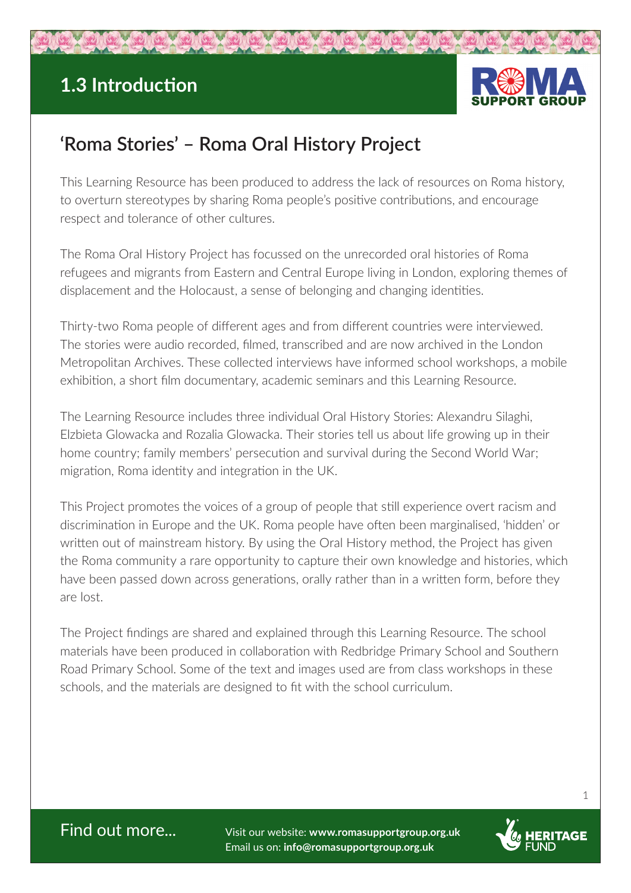## **1.3 Introduction**



## **'Roma Stories' – Roma Oral History Project**

This Learning Resource has been produced to address the lack of resources on Roma history, to overturn stereotypes by sharing Roma people's positive contributions, and encourage respect and tolerance of other cultures.

The Roma Oral History Project has focussed on the unrecorded oral histories of Roma refugees and migrants from Eastern and Central Europe living in London, exploring themes of displacement and the Holocaust, a sense of belonging and changing identities.

Thirty-two Roma people of different ages and from different countries were interviewed. The stories were audio recorded, filmed, transcribed and are now archived in the London Metropolitan Archives. These collected interviews have informed school workshops, a mobile exhibition, a short film documentary, academic seminars and this Learning Resource.

The Learning Resource includes three individual Oral History Stories: Alexandru Silaghi, Elzbieta Glowacka and Rozalia Glowacka. Their stories tell us about life growing up in their home country; family members' persecution and survival during the Second World War; migration, Roma identity and integration in the UK.

This Project promotes the voices of a group of people that still experience overt racism and discrimination in Europe and the UK. Roma people have often been marginalised, 'hidden' or written out of mainstream history. By using the Oral History method, the Project has given the Roma community a rare opportunity to capture their own knowledge and histories, which have been passed down across generations, orally rather than in a written form, before they are lost.

The Project findings are shared and explained through this Learning Resource. The school materials have been produced in collaboration with Redbridge Primary School and Southern Road Primary School. Some of the text and images used are from class workshops in these schools, and the materials are designed to fit with the school curriculum.

Find out more... Visit our website: **www.romasupportgroup.org.uk** Email us on: **info@romasupportgroup.org.uk**



1